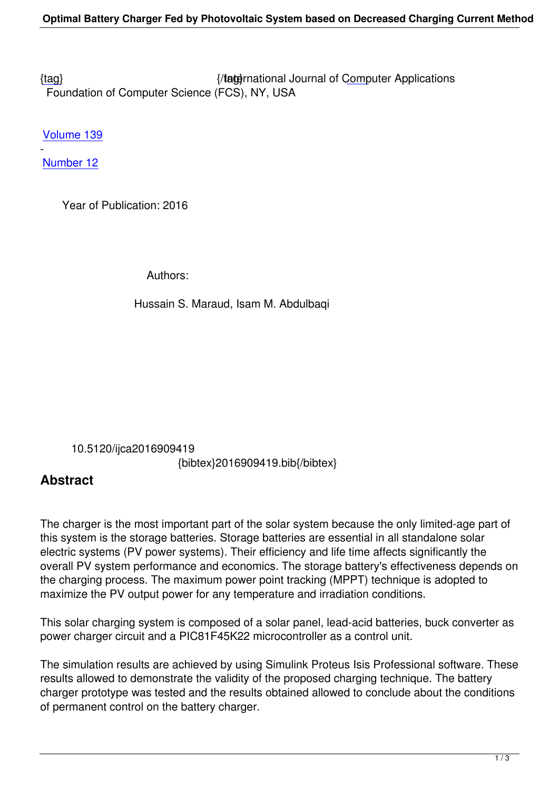{tag} International Journal of Computer Applications Foundation of Computer Science (FCS), NY, USA

[Volu](/research/volume139/number12/maraud-2016-ijca-909419.pdf)me 139

Number 12

-

 [Year of](/archives/volume139/number12) Publication: 2016

Authors:

Hussain S. Maraud, Isam M. Abdulbaqi

 10.5120/ijca2016909419 {bibtex}2016909419.bib{/bibtex}

## **Abstract**

The charger is the most important part of the solar system because the only limited-age part of this system is the storage batteries. Storage batteries are essential in all standalone solar electric systems (PV power systems). Their efficiency and life time affects significantly the overall PV system performance and economics. The storage battery's effectiveness depends on the charging process. The maximum power point tracking (MPPT) technique is adopted to maximize the PV output power for any temperature and irradiation conditions.

This solar charging system is composed of a solar panel, lead-acid batteries, buck converter as power charger circuit and a PIC81F45K22 microcontroller as a control unit.

The simulation results are achieved by using Simulink Proteus Isis Professional software. These results allowed to demonstrate the validity of the proposed charging technique. The battery charger prototype was tested and the results obtained allowed to conclude about the conditions of permanent control on the battery charger.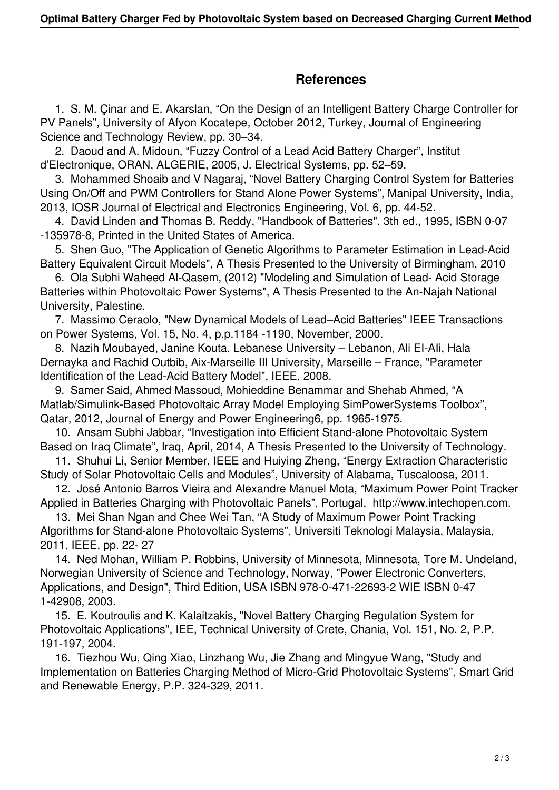## **References**

 1. S. M. Çinar and E. Akarslan, "On the Design of an Intelligent Battery Charge Controller for PV Panels", University of Afyon Kocatepe, October 2012, Turkey, Journal of Engineering Science and Technology Review, pp. 30–34.

 2. Daoud and A. Midoun, "Fuzzy Control of a Lead Acid Battery Charger", Institut d'Electronique, ORAN, ALGERIE, 2005, J. Electrical Systems, pp. 52–59.

 3. Mohammed Shoaib and V Nagaraj, "Novel Battery Charging Control System for Batteries Using On/Off and PWM Controllers for Stand Alone Power Systems", Manipal University, India, 2013, IOSR Journal of Electrical and Electronics Engineering, Vol. 6, pp. 44-52.

 4. David Linden and Thomas B. Reddy, "Handbook of Batteries". 3th ed., 1995, ISBN 0-07 -135978-8, Printed in the United States of America.

 5. Shen Guo, "The Application of Genetic Algorithms to Parameter Estimation in Lead-Acid Battery Equivalent Circuit Models", A Thesis Presented to the University of Birmingham, 2010

 6. Ola Subhi Waheed Al-Qasem, (2012) "Modeling and Simulation of Lead- Acid Storage Batteries within Photovoltaic Power Systems", A Thesis Presented to the An-Najah National University, Palestine.

 7. Massimo Ceraolo, "New Dynamical Models of Lead–Acid Batteries" IEEE Transactions on Power Systems, Vol. 15, No. 4, p.p.1184 -1190, November, 2000.

 8. Nazih Moubayed, Janine Kouta, Lebanese University – Lebanon, Ali EI-AIi, Hala Dernayka and Rachid Outbib, Aix-Marseille III University, Marseille – France, "Parameter Identification of the Lead-Acid Battery Model", IEEE, 2008.

 9. Samer Said, Ahmed Massoud, Mohieddine Benammar and Shehab Ahmed, "A Matlab/Simulink-Based Photovoltaic Array Model Employing SimPowerSystems Toolbox", Qatar, 2012, Journal of Energy and Power Engineering6, pp. 1965-1975.

 10. Ansam Subhi Jabbar, "Investigation into Efficient Stand-alone Photovoltaic System Based on Iraq Climate", Iraq, April, 2014, A Thesis Presented to the University of Technology.

 11. Shuhui Li, Senior Member, IEEE and Huiying Zheng, "Energy Extraction Characteristic Study of Solar Photovoltaic Cells and Modules", University of Alabama, Tuscaloosa, 2011.

 12. José Antonio Barros Vieira and Alexandre Manuel Mota, "Maximum Power Point Tracker Applied in Batteries Charging with Photovoltaic Panels", Portugal, http://www.intechopen.com.

 13. Mei Shan Ngan and Chee Wei Tan, "A Study of Maximum Power Point Tracking Algorithms for Stand-alone Photovoltaic Systems", Universiti Teknologi Malaysia, Malaysia, 2011, IEEE, pp. 22- 27

 14. Ned Mohan, William P. Robbins, University of Minnesota, Minnesota, Tore M. Undeland, Norwegian University of Science and Technology, Norway, "Power Electronic Converters, Applications, and Design", Third Edition, USA ISBN 978-0-471-22693-2 WIE ISBN 0-47 1-42908, 2003.

 15. E. Koutroulis and K. Kalaitzakis, "Novel Battery Charging Regulation System for Photovoltaic Applications", IEE, Technical University of Crete, Chania, Vol. 151, No. 2, P.P. 191-197, 2004.

 16. Tiezhou Wu, Qing Xiao, Linzhang Wu, Jie Zhang and Mingyue Wang, "Study and Implementation on Batteries Charging Method of Micro-Grid Photovoltaic Systems", Smart Grid and Renewable Energy, P.P. 324-329, 2011.